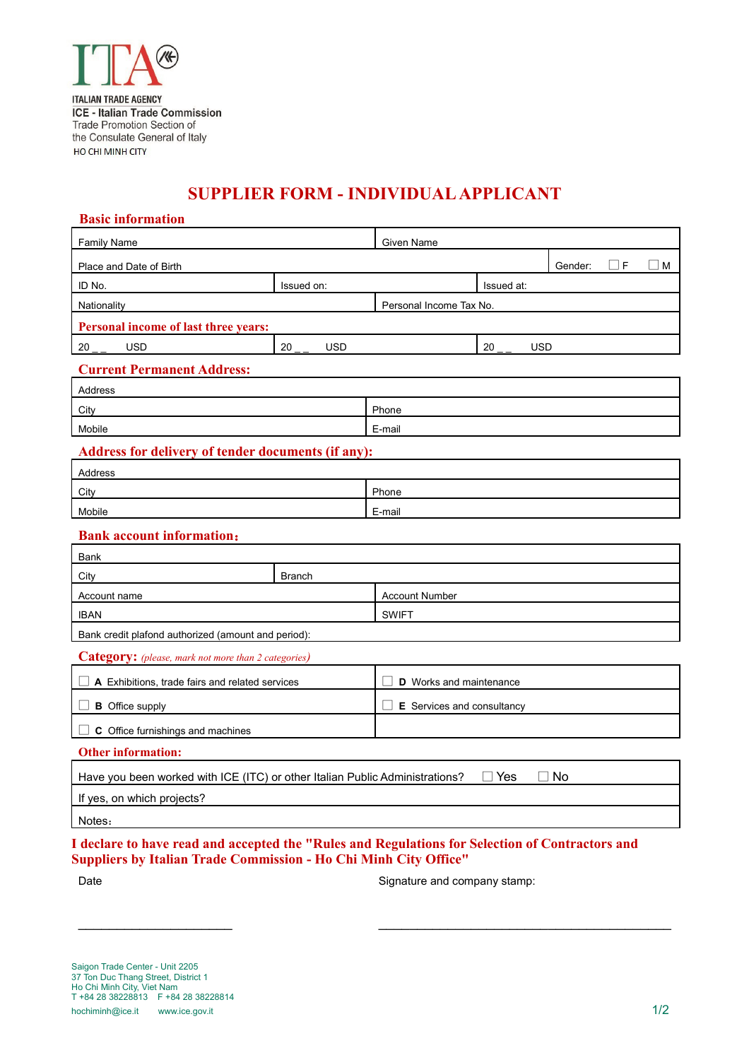

## **SUPPLIER FORM - INDIVIDUAL APPLICANT**

## **Basic information**

| Dasiv IIIIvi IIIauvii                                                                     |                  |                                |                  |  |             |  |  |
|-------------------------------------------------------------------------------------------|------------------|--------------------------------|------------------|--|-------------|--|--|
| <b>Family Name</b>                                                                        |                  | Given Name                     |                  |  |             |  |  |
| Gender:<br>⊔F<br>Place and Date of Birth                                                  |                  |                                |                  |  | $\square$ M |  |  |
| ID No.                                                                                    | Issued on:       |                                | Issued at:       |  |             |  |  |
| Nationality                                                                               |                  | Personal Income Tax No.        |                  |  |             |  |  |
| Personal income of last three years:                                                      |                  |                                |                  |  |             |  |  |
| <b>USD</b><br>20                                                                          | 20<br><b>USD</b> |                                | 20<br><b>USD</b> |  |             |  |  |
| <b>Current Permanent Address:</b>                                                         |                  |                                |                  |  |             |  |  |
| Address                                                                                   |                  |                                |                  |  |             |  |  |
| City                                                                                      |                  | Phone                          |                  |  |             |  |  |
| Mobile                                                                                    |                  | E-mail                         |                  |  |             |  |  |
| Address for delivery of tender documents (if any):                                        |                  |                                |                  |  |             |  |  |
| Address                                                                                   |                  |                                |                  |  |             |  |  |
| City                                                                                      |                  | Phone                          |                  |  |             |  |  |
| Mobile                                                                                    |                  | E-mail                         |                  |  |             |  |  |
| <b>Bank account information:</b>                                                          |                  |                                |                  |  |             |  |  |
| Bank                                                                                      |                  |                                |                  |  |             |  |  |
| <b>Branch</b><br>City                                                                     |                  |                                |                  |  |             |  |  |
| Account name                                                                              |                  | <b>Account Number</b>          |                  |  |             |  |  |
| <b>IBAN</b>                                                                               |                  | <b>SWIFT</b>                   |                  |  |             |  |  |
| Bank credit plafond authorized (amount and period):                                       |                  |                                |                  |  |             |  |  |
| Category: (please, mark not more than 2 categories)                                       |                  |                                |                  |  |             |  |  |
| A Exhibitions, trade fairs and related services                                           |                  | <b>D</b> Works and maintenance |                  |  |             |  |  |
| <b>B</b> Office supply                                                                    |                  | E Services and consultancy     |                  |  |             |  |  |
|                                                                                           |                  |                                |                  |  |             |  |  |
| C Office furnishings and machines                                                         |                  |                                |                  |  |             |  |  |
| <b>Other information:</b>                                                                 |                  |                                |                  |  |             |  |  |
| No<br>Have you been worked with ICE (ITC) or other Italian Public Administrations?<br>Yes |                  |                                |                  |  |             |  |  |
| If yes, on which projects?                                                                |                  |                                |                  |  |             |  |  |
| Notes:                                                                                    |                  |                                |                  |  |             |  |  |

**I declare to have read and accepted the "Rules and Regulations for Selection of Contractors and Suppliers by Italian Trade Commission - Ho Chi Minh City Office"** 

\_\_\_\_\_\_\_\_\_\_\_\_\_\_\_\_\_\_\_\_ \_\_\_\_\_\_\_\_\_\_\_\_\_\_\_\_\_\_\_\_\_\_\_\_\_\_\_\_\_\_\_\_\_\_\_\_\_\_

Date **Signature and company stamp:** Signature and company stamp: